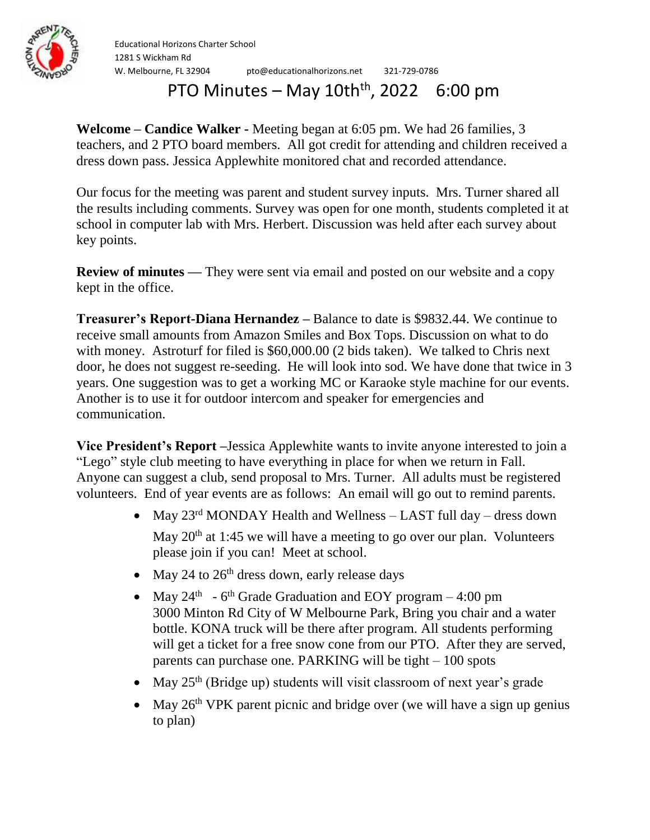

Educational Horizons Charter School 1281 S Wickham Rd W. Melbourne, FL 32904 pto@educationalhorizons.net 321-729-0786

## PTO Minutes – May  $10th<sup>th</sup>$ , 2022 6:00 pm

**Welcome – Candice Walker -** Meeting began at 6:05 pm. We had 26 families, 3 teachers, and 2 PTO board members. All got credit for attending and children received a dress down pass. Jessica Applewhite monitored chat and recorded attendance.

Our focus for the meeting was parent and student survey inputs. Mrs. Turner shared all the results including comments. Survey was open for one month, students completed it at school in computer lab with Mrs. Herbert. Discussion was held after each survey about key points.

**Review of minutes** — They were sent via email and posted on our website and a copy kept in the office.

**Treasurer's Report-Diana Hernandez –** Balance to date is \$9832.44. We continue to receive small amounts from Amazon Smiles and Box Tops. Discussion on what to do with money. Astroturf for filed is \$60,000.00 (2 bids taken). We talked to Chris next door, he does not suggest re-seeding. He will look into sod. We have done that twice in 3 years. One suggestion was to get a working MC or Karaoke style machine for our events. Another is to use it for outdoor intercom and speaker for emergencies and communication.

**Vice President's Report –**Jessica Applewhite wants to invite anyone interested to join a "Lego" style club meeting to have everything in place for when we return in Fall. Anyone can suggest a club, send proposal to Mrs. Turner. All adults must be registered volunteers. End of year events are as follows: An email will go out to remind parents.

- May  $23^{\text{rd}}$  MONDAY Health and Wellness LAST full day dress down May  $20<sup>th</sup>$  at 1:45 we will have a meeting to go over our plan. Volunteers please join if you can! Meet at school.
- May 24 to  $26<sup>th</sup>$  dress down, early release days
- May  $24<sup>th</sup>$  6<sup>th</sup> Grade Graduation and EOY program 4:00 pm 3000 Minton Rd City of W Melbourne Park, Bring you chair and a water bottle. KONA truck will be there after program. All students performing will get a ticket for a free snow cone from our PTO. After they are served, parents can purchase one. PARKING will be tight – 100 spots
- May  $25<sup>th</sup>$  (Bridge up) students will visit classroom of next year's grade
- May  $26<sup>th</sup>$  VPK parent picnic and bridge over (we will have a sign up genius to plan)